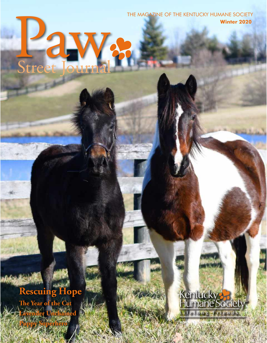THE MAGAZINE OF THE KENTUCKY HUMANE SOCIETY **Winter 2020**

# **Rescuing Hope**

PaW<br>Street Journal

Street Journal

**The Year of the Cat Lavender Unchained**

**Puppy Superhero**

## Kentucky<br>Humane Society Lifelong-Friends

**www.kyhumane.org**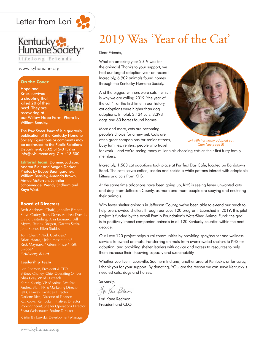



#### www.kyhumane.org

#### **On the Cover**

Hope and Knox survived a shooting that killed 20 of their herd. They are recovering at



our Willow Hope Farm. Photo by William Beasley.

The *Paw Street Journal* is a quarterly publication of the Kentucky Humane Society. Questions or comments may be addressed to the Public Relations Department, (502) 515-3152 or info@kyhumane.org. Circ.: 18,500

**Editorial team:** Dominic Jackson, Andrea Blair and Megan Decker. Photos by Bobby Baumgardner, William Beasley, Amanda Brown, Aimee McFerren, Jennifer Schoenegge, Wendy Stidham and Kaye West.

#### **Board of Directors**

Beth Andrews (Chair), Jennifer Branch, Steve Codey, Tony Deye, Andrea Duvall, David Easterling, Ann Leonard, Bill Myers, Patrick Padgett, Darren Stein, Jena Stone, Ellen Stubbs

Toni Clem,\* Nick Costides,\* Brian Haara,\* John Hassmann,\* Rick Maynard,\* Glenn Price,\* Patti Swope\* *\* Advisory Board*

#### **Leadership Team**

Lori Redmon, President & CEO Britney Chaney, Chief Operating Officer Karen Koenig, VP of Animal Welfare Andrea Blair, PR & Marketing Director Jeff Callaway, Facilities Director Darlene Rich, Director of Finance Kat Rooks, Kentucky Initiatives Director Robin Vincent, Shelter Operations Director Shara Weisenauer, Equine Director

Kristin Binkowski, Development Manager

## 2019 Was 'Year of the Cat'

Dear Friends,

What an amazing year 2019 was for the animals! Thanks to your support, we had our largest adoption year on record! Incredibly, 6,902 animals found homes through the Kentucky Humane Society.

And the biggest winners were cats – which is why we are calling 2019 "the year of the cat." For the first time in our history, cat adoptions were higher than dog adoptions. In total, 3,424 cats, 3,398 dogs and 80 horses found homes.

More and more, cats are becoming people's choice for a new pet. Cats are often great companions for senior citizens, busy families, renters, people who travel



*Lori with her newly adopted cat, Cam (see page 5)*

for work – and we're seeing many millennials choosing cats as their first furry family members.

Incredibly, 1,583 cat adoptions took place at Purrfect Day Café, located on Bardstown Road. The cafe serves coffee, snacks and cocktails while patrons interact with adoptable kittens and cats from KHS.

At the same time adoptions have been going up, KHS is seeing fewer unwanted cats and dogs from Jefferson County, as more and more people are spaying and neutering their animals.

With fewer shelter animals in Jefferson County, we've been able to extend our reach to help overcrowded shelters through our Love 120 program. Launched in 2019, this pilot project is funded by the Arnall Family Foundation's WaterShed Animal Fund: the goal is to positively impact companion animals in all 120 Kentucky counties within the next decade.

Our Love 120 project helps rural communities by providing spay/neuter and wellness services to owned animals, transferring animals from overcrowded shelters to KHS for adoption, and providing shelter leaders with advice and access to resources to help them increase their lifesaving capacity and sustainability.

Whether you live in Louisville, Southern Indiana, another area of Kentucky, or far away, I thank you for your support! By donating, YOU are the reason we can serve Kentucky's neediest cats, dogs and horses.

Sincerely,

Jon Kene Kednon

Lori Kane Redmon President and CEO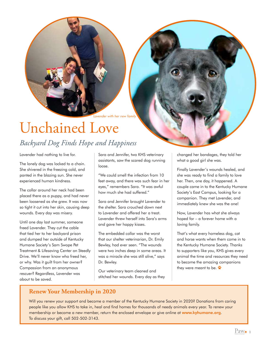

*Lavender with her new family*

## Unchained Love *Backyard Dog Finds Hope and Happiness*

Lavender had nothing to live for.

The lonely dog was locked to a chain. She shivered in the freezing cold, and panted in the blazing sun. She never experienced human kindness.

The collar around her neck had been placed there as a puppy, and had never been loosened as she grew. It was now so tight it cut into her skin, causing deep wounds. Every day was misery.

Until one day last summer, someone freed Lavender. They cut the cable that tied her to her backyard prison and dumped her outside of Kentucky Humane Society's Sam Swope Pet Treatment & Lifesaving Center on Steedly Drive. We'll never know who freed her, or why. Was it guilt from her owner? Compassion from an anonymous rescuer? Regardless, Lavender was about to be saved.

Sara and Jennifer, two KHS veterinary assistants, saw the scared dog running loose.

"We could smell the infection from 10 feet away, and there was such fear in her eyes," remembers Sara. "It was awful how much she had suffered."

Sara and Jennifer brought Lavender to the shelter. Sara crouched down next to Lavender and offered her a treat. Lavender threw herself into Sara's arms and gave her happy kisses.

The embedded collar was the worst that our shelter veterinarian, Dr. Emily Bewley, had ever seen. "The wounds were two inches deep in some areas. It was a miracle she was still alive," says Dr. Bewley.

Our veterinary team cleaned and stitched her wounds. Every day as they changed her bandages, they told her what a good girl she was.

Finally Lavender's wounds healed, and she was ready to find a family to love her. Then, one day, it happened. A couple came in to the Kentucky Humane Society's East Campus, looking for a companion. They met Lavender, and immediately knew she was the one!

Now, Lavender has what she always hoped for – a forever home with a loving family.

That's what every homeless dog, cat and horse wants when them come in to the Kentucky Humane Society. Thanks to supporters like you, KHS gives every animal the time and resources they need to become the amazing companions they were meant to be.

#### **Renew Your Membership in 2020**

Will you renew your support and become a member of the Kentucky Humane Society in 2020? Donations from caring people like you allow KHS to take in, heal and find homes for thousands of needy animals every year. To renew your membership or become a new member, return the enclosed envelope or give online at www.kyhumane.org. To discuss your gift, call 502-502-3143.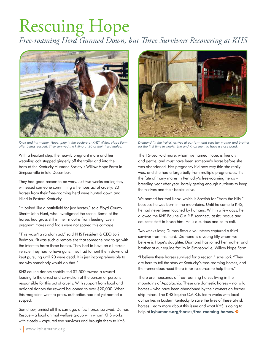## Rescuing Hope *Free-roaming Herd Gunned Down, but Three Survivors Recovering at KHS*



*Knox and his mother, Hope, play in the pasture at KHS' Willow Hope Farm after being rescued. They survived the killing of 20 of their herd mates.*

With a hesitant step, the heavily pregnant mare and her weanling colt stepped gingerly off the trailer and into the barn at the Kentucky Humane Society's Willow Hope Farm in Simpsonville in late December.

They had good reason to be wary. Just two weeks earlier, they witnessed someone committing a heinous act of cruelty: 20 horses from their free-roaming herd were hunted down and killed in Eastern Kentucky.

"It looked like a battlefield for just horses," said Floyd County Sheriff John Hunt, who investigated the scene. Some of the horses had grass still in their mouths from feeding. Even pregnant mares and foals were not spared this carnage.

"This wasn't a random act," said KHS President & CEO Lori Redmon. "It was such a remote site that someone had to go with the intent to harm these horses. They had to have an all-terrainvehicle, they had to have guns, they had to hunt them down and kept pursuing until 20 were dead. It is just incomprehensible to me why somebody would do that."

KHS equine donors contributed \$2,500 toward a reward leading to the arrest and conviction of the person or persons responsible for this act of cruelty. With support from local and national donors the reward ballooned to over \$20,000. When this magazine went to press, authorities had not yet named a suspect.

Somehow, amidst all this carnage, a few horses survived. Dumas Rescue – a local animal welfare group with whom KHS works with closely – captured two survivors and brought them to KHS.



*Diamond (in the trailer) arrives at our farm and sees her mother and brother for the first time in weeks. She and Knox seem to have a close bond.*

The 15-year-old mare, whom we named Hope, is friendly and gentle, and must have been someone's horse before she was abandoned. Her pregnancy hid how very thin she really was, and she had a large belly from multiple pregnancies. It's the fate of many mares in Kentucky's free-roaming herds – breeding year after year, barely getting enough nutrients to keep themselves and their babies alive.

We named her foal Knox, which is Scottish for "from the hills." because he was born in the mountains. Until he came to KHS, he had never been touched by humans. Within a few days, he allowed the KHS Equine C.A.R.E. (connect, assist, rescue and educate) staff to brush him. He is a curious and calm colt.

Two weeks later, Dumas Rescue volunteers captured a third survivor from this herd. Diamond is a young filly whom we believe is Hope's daughter. Diamond has joined her mother and brother at our equine facility in Simpsonville, Willow Hope Farm.

"I believe these horses survived for a reason," says Lori. "They are here to tell the story of Kentucky's free-roaming horses, and the tremendous need there is for resources to help them."

There are thousands of free-roaming horses living in the mountains of Appalachia. These are domestic horses – not wild horses – who have been abandoned by their owners on former strip mines. The KHS Equine C.A.R.E. team works with local authorities in Eastern Kentucky to save the lives of these at-risk horses. Learn more about this issue and what KHS is doing to help at kyhumane.org/horses/free-roaming-horses.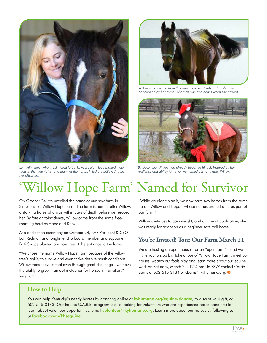

*Lori with Hope, who is estimated to be 15 years old. Hope birthed many foals in the mountains, and many of the horses killed are believed to be her offspring.*



*Willow was rescued from this same herd in October after she was abandoned by her owner. She was skin and bones when she arrived.* 



*By December, Willow had already begun to fill out. Inspired by her resiliency and ability to thrive, we named our farm after Willow.* 

# 'Willow Hope Farm' Named for Survivor

On October 24, we unveiled the name of our new farm in Simpsonville: Willow Hope Farm. The farm is named after Willow, a starving horse who was within days of death before we rescued her. By fate or coincidence, Willow came from the same freeroaming herd as Hope and Knox.

At a dedication ceremony on October 24, KHS President & CEO Lori Redmon and longtime KHS board member and supporter Patti Swope planted a willow tree at the entrance to the farm.

"We chose the name Willow Hope Farm because of the willow tree's ability to survive and even thrive despite harsh conditions. Willow trees show us that even through great challenges, we have the ability to grow – an apt metaphor for horses in transition," says Lori.

"While we didn't plan it, we now have two horses from the same herd – Willow and Hope – whose names are reflected as part of our farm."

Willow continues to gain weight, and at time of publication, she was ready for adoption as a beginner safe trail horse.

#### **You're Invited! Tour Our Farm March 21**

We are hosting an open house – or an "open farm" – and we invite you to stop by! Take a tour of Willow Hope Farm, meet our horses, wqatch out foals play and learn more about our equine work on Saturday, March 21, 12-4 pm. To RSVP, contact Carrie Burns at 502-515-3134 or cburns@kyhumane.org.

#### **How to Help**

You can help Kentucky's needy horses by donating online at kyhumane.org/equine-donate; to discuss your gift, call 502-515-3143. Our Equine C.A.R.E. program is also looking for volunteers who are experienced horse handlers; to learn about volunteer opportunities, email volunteer@kyhumane.org. Learn more about our horses by following us at facebook.com/khsequine.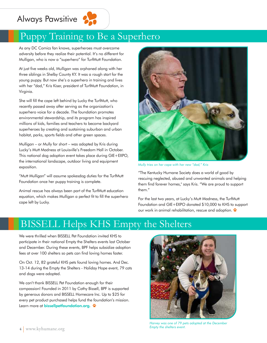### Always Pawsitive



### Puppy Training to Be a Superhero

As any DC Comics fan knows, superheroes must overcome adversity before they realize their potential. It's no different for Mulligan, who is now a "superhero" for TurfMutt Foundation.

At just five weeks old, Mulligan was orphaned along with her three siblings in Shelby County KY. It was a rough start for the young puppy. But now she's a superhero in training and lives with her "dad," Kris Kiser, president of TurfMutt Foundation, in Virginia.

She will fill the cape left behind by Lucky the TurfMutt, who recently passed away after serving as the organization's superhero voice for a decade. The foundation promotes environmental stewardship, and its program has inspired millions of kids, families and teachers to become backyard superheroes by creating and sustaining suburban and urban habitat, parks, sports fields and other green spaces.

Mulligan – or Mully for short – was adopted by Kris during Lucky's Mutt Madness at Louisville's Freedom Hall in October. This national dog adoption event takes place during GIE+EXPO, the international landscape, outdoor living and equipment exposition.

"Mutt Mulligan" will assume spokesdog duties for the TurfMutt Foundation once her puppy training is complete.

Animal rescue has always been part of the TurfMutt education equation, which makes Mulligan a perfect fit to fill the superhero cape left by Lucky.



*Mully tries on her cape with her new "dad," Kris*

"The Kentucky Humane Society does a world of good by rescuing neglected, abused and unwanted animals and helping them find forever homes," says Kris. "We are proud to support them."

For the last two years, at Lucky's Mutt Madness, the TurfMutt Foundation and GIE+EXPO donated \$10,000 to KHS to support our work in animal rehabilitation, rescue and adoption.

### BISSELL Helps KHS Empty the Shelters

We were thrilled when BISSELL Pet Foundation invited KHS to participate in their national Empty the Shelters events last October and December. During these events, BPF helps subsidize adoption fees at over 100 shelters so pets can find loving homes faster.

On Oct. 12, 82 grateful KHS pets found loving homes. And Dec. 13-14 during the Empty the Shelters - Holiday Hope event, 79 cats and dogs were adopted.

We can't thank BISSELL Pet Foundation enough for their compassion! Founded in 2011 by Cathy Bissell, BPF is supported by generous donors and BISSELL Homecare Inc. Up to \$25 for every pet product purchased helps fund the foundation's mission. Learn more at bissellpetfoundation.org.  $\ddot{\mathbf{x}}$ 



**4** www.kyhumane.org **500 mm** 5 Street Journal Separate Section 2 Street Journal of  $\mathsf{S}$  Street Journal Section 4 Street Journal of  $\mathsf{S}$  Street Journal of  $\mathsf{S}$  Street Journal of  $\mathsf{S}$  Street Journal of  $\mathsf{$ *Harvey was one of 79 pets adopted at the December Empty the shelters event.*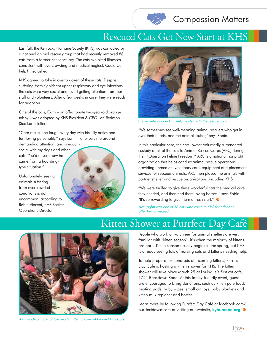

### Compassion Matters

### Rescued Cats Get New Start at KHS

Last fall, the Kentucky Humane Society (KHS) was contacted by a national animal rescue group that had recently removed 88 cats from a former cat sanctuary. The cats exhibited illnesses consistent with overcrowding and medical neglect. Could we help? they asked.

KHS agreed to take in over a dozen of these cats. Despite suffering from significant upper respiratory and eye infections, the cats were very social and loved getting attention from our staff and volunteers. After a few weeks in care, they were ready for adoption.

One of the cats, Cam – an affectionate two-year-old orange tabby – was adopted by KHS President & CEO Lori Redmon (See Lori's letter).

"Cam makes me laugh every day with his silly antics and fun-loving personality," says Lori. "He follows me around demanding attention, and is equally

social with my dogs and other cats. You'd never know he came from a hoardingtype situation."

Unfortunately, seeing animals suffering from overcrowded conditions is not uncommon, according to Robin Vincent, KHS Shelter Operations Director.





*Shelter veterinarian Dr. Emily Bewley with the rescued cats.*

"We sometimes see well-meaning animal rescuers who get in over their heads, and the animals suffer," says Robin.

In this particular case, the cats' owner voluntarily surrendered custody of all of the cats to Animal Rescue Corps (ARC) during their "Operation Feline Freedom." ARC is a national nonprofit organization that helps conduct animal rescue operations, providing immediate veterinary care, equipment and placement services for rescued animals. ARC then placed the animals with partner shelter and rescue organizations, including KHS.

"We were thrilled to give these wonderful cats the medical care they needed, and then find them loving homes," says Robin. "It's so rewarding to give them a fresh start."

*Ava (right) was one of 13 cats who came to KHS for adoption after being rescued.* 

### Kitten Shower at Purrfect Day Café



*Kids made cat toys at last year's Kitten Shower at Purrfect Day Café.*

People who work or volunteer for animal shelters are very familiar with "kitten season": it's when the majority of kittens are born. Kitten season usually begins in the spring, but KHS is already seeing lots of nursing cats and kittens needing help.

To help prepare for hundreds of incoming kittens, Purrfect Day Café is hosting a kitten shower for KHS. The kitten shower will take place March 29 at Louisville's first cat café, 1741 Bardstown Road. At this family-friendly event, guests are encouraged to bring donations, such as kitten pate food, heating pads, baby wipes, small cat toys, baby blankets and kitten milk replacer and bottles.

Learn more by following Purrfect Day Café at facebook.com/ purrfectdaycatcafe or visiting our website, kyhumane.org.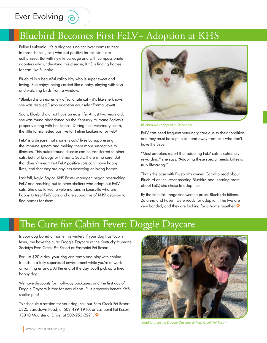### Ever Evolving @

### Bluebird Becomes First FeLV+ Adoption at KHS

Feline Leukemia. It's a diagnosis no cat lover wants to hear. In most shelters, cats who test positive for this virus are euthanized. But with new knowledge and with compassionate adopters who understand this disease, KHS is finding homes for cats like Bluebird.

Bluebird is a beautiful calico kitty who is super sweet and loving. She enjoys being carried like a baby, playing with toys and watching birds from a window.

"Bluebird is an extremely affectionate cat – it's like she knows she was rescued," says adoption counselor Emma Jewett.

Sadly, Bluebird did not have an easy life. At just two years old, she was found abandoned on the Kentucky Humane Society's property along with her kittens. During their veterinary exam, the little family tested positive for Feline Leukemia, or FeLV.

FeLV is a disease that shortens cats' lives by suppressing the immune system and making them more susceptible to illnesses. This autoimmune disease can be transferred to other cats, but not to dogs or humans. Sadly, there is no cure. But that doesn't mean that FeLV positive cats can't have happy lives, and that they are any less deserving of loving homes.

Last fall, Kayla Saylor, KHS Foster Manager, began researching FeLV and reaching out to other shelters who adopt out FeLV cats. She also talked to veterinarians in Louisville who are happy to treat FeLV cats and are supportive of KHS' decision to find homes for them.



*Bluebird was adopted in December.*

FeLV cats need frequent veterinary care due to their condition, and they must be kept inside and away from cats who don't have the virus.

"Most adopters report that adopting FeLV cats is extremely rewarding," she says. "Adopting these special needs kitties is truly lifesaving."

That's the case with Bluebird's owner. Camillia read about Bluebird online. After meeting Bluebird and learning more about FeLV, she chose to adopt her.

By the time this magazine went to press, Bluebird's kittens, Zatanna and Raven, were ready for adoption. The two are very bonded, and they are looking for a home together.

### The Cure for Cabin Fever: Doggie Daycare

Is your dog bored at home this winter? If your dog has "cabin fever," we have the cure: Doggie Daycare at the Kentucky Humane Society's Fern Creek Pet Resort or Eastpoint Pet Resort!

For just \$20 a day, your dog can romp and play with canine friends in a fully supervised environment while you're at work or running errands. At the end of the day, you'll pick up a tired, happy dog.

We have discounts for multi-day packages, and the first day of Doggie Daycare is free for new clients. Plus proceeds benefit KHS shelter pets!

To schedule a session for your dog, call our Fern Creek Pet Resort, 5225 Bardstown Road, at 502-499-1910, or Eastpoint Pet Resort, 13310 Magisterial Drive, at 502-253-2221.



*Buddies enjoying Doggie Daycare at Fern Creek Pet Resort*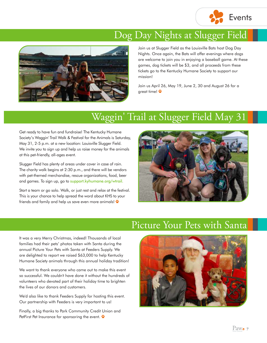

### Dog Day Nights at Slugger Field



Join us at Slugger Field as the Louisville Bats host Dog Day Nights. Once again, the Bats will offer evenings where dogs are welcome to join you in enjoying a baseball game. At these games, dog tickets will be \$3, and all proceeds from these tickets go to the Kentucky Humane Society to support our mission!

Join us April 26, May 19, June 2, 30 and August 26 for a great time!

### Waggin' Trail at Slugger Field May 31

Get ready to have fun and fundraise! The Kentucky Humane Society's Waggin' Trail Walk & Festival for the Animals is Saturday, May 31, 2-5 p.m. at a new location: Louisville Slugger Field. We invite you to sign up and help us raise money for the animals at this pet-friendly, all-ages event.

Slugger Field has plenty of areas under cover in case of rain. The charity walk begins at 2:30 p.m., and there will be vendors with pet-themed merchandise, rescue organizations, food, beer and games. To sign up, go to support.kyhumane.org/wtrail.

Start a team or go solo. Walk, or just rest and relax at the festival. This is your chance to help spread the word about KHS to your friends and family and help us save even more animals!



### Picture Your Pets with Santa

It was a very Merry Christmas, indeed! Thousands of local families had their pets' photos taken with Santa during the annual Picture Your Pets with Santa at Feeders Supply. We are delighted to report we raised \$63,000 to help Kentucky Humane Society animals through this annual holiday tradition!

We want to thank everyone who came out to make this event so successful. We couldn't have done it without the hundreds of volunteers who devoted part of their holiday time to brighten the lives of our donors and customers.

We'd also like to thank Feeders Supply for hosting this event. Our partnership with Feeders is very important to us!

Finally, a big thanks to Park Community Credit Union and PetFirst Pet Insurance for sponsoring the event.

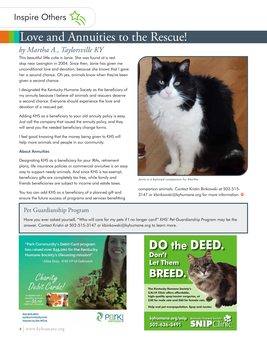Inspire Others 23

### Love and Annuities to the Rescue!

### *by Martha A., Taylorsville KY*

This beautiful little cutie is Janie. She was found at a rest stop near Lexington in 2004. Since then, Janie has given me unconditional love and devotion, because she knows that I gave her a second chance. Oh yes, animals know when they've been given a second chance.

I designated the Kentucky Humane Society as the beneficiary of my annuity because I believe all animals and rescuers deserve a second chance. Everyone should experience the love and devotion of a rescued pet.

Adding KHS as a beneficiary to your old annuity policy is easy. Just call the company that issued the annuity policy, and they will send you the needed beneficiary change forms.

I feel good knowing that the money being given to KHS will help more animals and people in our community.

#### About Annuities

Designating KHS as a beneficiary for your IRAs, retirement plans, life insurance policies or commercial annuities is an easy way to support needy animals. And since KHS is tax-exempt, beneficiary gifts are completely tax free, while family and friends beneficiaries are subject to income and estate taxes.

You too can add KHS as a beneficiary of a planned gift and ensure the future success of programs and services benefitting



*Janie is a beloved companion for Martha*

companion animals. Contact Kristin Binkowski at 502-515- 3147 or kbinkowski@kyhumane.org for more information.

#### Pet Guardianship Program

Have you ever asked yourself, "Who will care for my pets if I no longer can?" KHS' Pet Guardianship Program may be the answer. Contact Kristin at 502-515-3147 or kbinkowski@kyhumane.org to learn more.

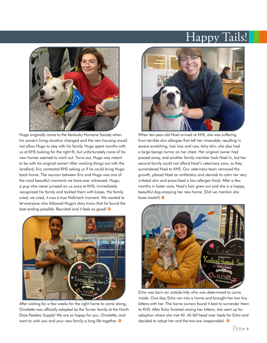### Happy Tails!



Hugo originally came to the Kentucky Humane Society when his owner's living situation changed and the new housing would not allow Hugo to stay with his family. Hugo spent months with us at KHS looking for the right fit, but unfortunately none of his new homes seemed to work out. Turns out, Hugo was meant to be with his original owner! After working things out with the landlord, Eric contacted KHS asking us if he could bring Hugo back home. The reunion between Eric and Hugo was one of the most beautiful moments we have ever witnessed. Hugo, a pup who never jumped on us once at KHS, immediately recognized his family and tackled them with kisses. His family cried, we cried, it was a true Hallmark moment. We wanted to let everyone who followed Hugo's story know that he found the best ending possible. Reunited and it feels so good!



After waiting for a few weeks for the right home to come along, Omelette was officially adopted by the Turner family at the North Dixie Feeders Supply! We are so happy for you, Omelette, and want to wish you and your new family a long life together.



When ten-year-old Noel arrived at KHS, she was suffering from terrible skin allergies that left her miserable, resulting in severe scratching, hair loss and raw, itchy skin; she also had a large benign tumor on her chest. Her original owner had passed away, and another family member took Noel in, but her second family could not afford Noel's veterinary care, so they surrendered Noel to KHS. Our veterinary team removed the growth, placed Noel on antibiotics and steroids to calm her very irritated skin and prescribed a low-allergen food. After a few months in foster care, Noel's hair grew out and she is a happy, beautiful dog enjoying her new home. (Did we mention she loves treats?)



Echo was born an outside kitty who was determined to come inside. One day, Echo ran into a home and brought her two tiny kittens with her. The home owners found it best to surrender them to KHS. After Echo finished raising her kittens, she went up for adoption where she met Ali. Ali fell head over heels for Echo and decided to adopt her and the two are inseparable! \*